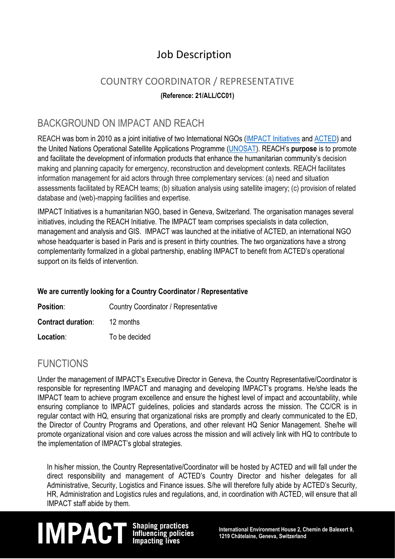## Job Description

## COUNTRY COORDINATOR / REPRESENTATIVE

#### **(Reference: 21/ALL/CC01)**

### BACKGROUND ON IMPACT AND REACH

REACH was born in 2010 as a joint initiative of two International NGOs (IMPACT [Initiatives](http://www.impact-initiatives.org/) and [ACTED\)](http://www.acted.org/) and the United Nations Operational Satellite Applications Programme [\(UNOSAT\)](http://www.unitar.org/unosat/). REACH's **purpose** is to promote and facilitate the development of information products that enhance the humanitarian community's decision making and planning capacity for emergency, reconstruction and development contexts. REACH facilitates information management for aid actors through three complementary services: (a) need and situation assessments facilitated by REACH teams; (b) situation analysis using satellite imagery; (c) provision of related database and (web)-mapping facilities and expertise.

IMPACT Initiatives is a humanitarian NGO, based in Geneva, Switzerland. The organisation manages several initiatives, including the REACH Initiative. The IMPACT team comprises specialists in data collection, management and analysis and GIS. IMPACT was launched at the initiative of ACTED, an international NGO whose headquarter is based in Paris and is present in thirty countries. The two organizations have a strong complementarity formalized in a global partnership, enabling IMPACT to benefit from ACTED's operational support on its fields of intervention.

#### **We are currently looking for a Country Coordinator / Representative**

| <b>Position:</b>          | Country Coordinator / Representative |
|---------------------------|--------------------------------------|
| <b>Contract duration:</b> | 12 months                            |
| Location:                 | To be decided                        |

### FUNCTIONS

Under the management of IMPACT's Executive Director in Geneva, the Country Representative/Coordinator is responsible for representing IMPACT and managing and developing IMPACT's programs. He/she leads the IMPACT team to achieve program excellence and ensure the highest level of impact and accountability, while ensuring compliance to IMPACT guidelines, policies and standards across the mission. The CC/CR is in regular contact with HQ, ensuring that organizational risks are promptly and clearly communicated to the ED, the Director of Country Programs and Operations, and other relevant HQ Senior Management. She/he will promote organizational vision and core values across the mission and will actively link with HQ to contribute to the implementation of IMPACT's global strategies.

In his/her mission, the Country Representative/Coordinator will be hosted by ACTED and will fall under the direct responsibility and management of ACTED's Country Director and his/her delegates for all Administrative, Security, Logistics and Finance issues. S/he will therefore fully abide by ACTED's Security, HR, Administration and Logistics rules and regulations, and, in coordination with ACTED, will ensure that all IMPACT staff abide by them.

## **IM PACT** Shaping practices<br>Influencing policies international Environment House 2, Chemin de Balexert 9,<br>Impacting lives 1219 Châtelaine, Geneva, Switzerland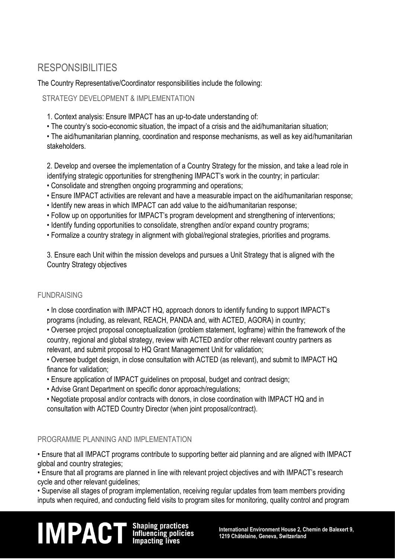## RESPONSIBILITIES

The Country Representative/Coordinator responsibilities include the following:

#### STRATEGY DEVELOPMENT & IMPLEMENTATION

- 1. Context analysis: Ensure IMPACT has an up-to-date understanding of:
- The country's socio-economic situation, the impact of a crisis and the aid/humanitarian situation;
- The aid/humanitarian planning, coordination and response mechanisms, as well as key aid/humanitarian stakeholders.

2. Develop and oversee the implementation of a Country Strategy for the mission, and take a lead role in identifying strategic opportunities for strengthening IMPACT's work in the country; in particular:

- Consolidate and strengthen ongoing programming and operations;
- Ensure IMPACT activities are relevant and have a measurable impact on the aid/humanitarian response;
- Identify new areas in which IMPACT can add value to the aid/humanitarian response;
- Follow up on opportunities for IMPACT's program development and strengthening of interventions;
- Identify funding opportunities to consolidate, strengthen and/or expand country programs;
- Formalize a country strategy in alignment with global/regional strategies, priorities and programs.

3. Ensure each Unit within the mission develops and pursues a Unit Strategy that is aligned with the Country Strategy objectives

#### FUNDRAISING

• In close coordination with IMPACT HQ, approach donors to identify funding to support IMPACT's programs (including, as relevant, REACH, PANDA and, with ACTED, AGORA) in country;

• Oversee project proposal conceptualization (problem statement, logframe) within the framework of the country, regional and global strategy, review with ACTED and/or other relevant country partners as relevant, and submit proposal to HQ Grant Management Unit for validation;

• Oversee budget design, in close consultation with ACTED (as relevant), and submit to IMPACT HQ finance for validation;

- Ensure application of IMPACT guidelines on proposal, budget and contract design;
- Advise Grant Department on specific donor approach/regulations;
- Negotiate proposal and/or contracts with donors, in close coordination with IMPACT HQ and in consultation with ACTED Country Director (when joint proposal/contract).

#### PROGRAMME PLANNING AND IMPLEMENTATION

• Ensure that all IMPACT programs contribute to supporting better aid planning and are aligned with IMPACT global and country strategies;

• Ensure that all programs are planned in line with relevant project objectives and with IMPACT's research cycle and other relevant quidelines:

• Supervise all stages of program implementation, receiving regular updates from team members providing inputs when required, and conducting field visits to program sites for monitoring, quality control and program

# **IM PACT** Shaping practices<br>Influencing policies international Environment House 2, Chemin de Balexert 9,<br>Impacting lives 1219 Châtelaine, Geneva, Switzerland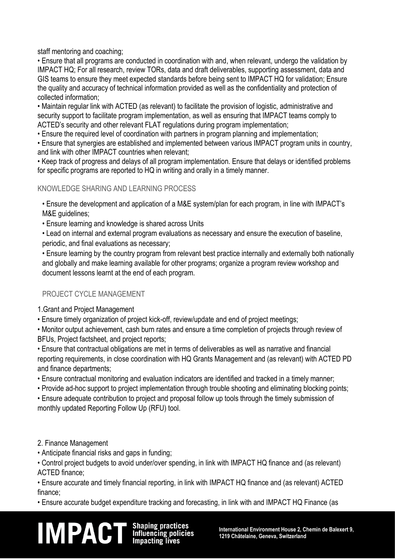staff mentoring and coaching;

• Ensure that all programs are conducted in coordination with and, when relevant, undergo the validation by IMPACT HQ; For all research, review TORs, data and draft deliverables, supporting assessment, data and GIS teams to ensure they meet expected standards before being sent to IMPACT HQ for validation; Ensure the quality and accuracy of technical information provided as well as the confidentiality and protection of collected information;

• Maintain regular link with ACTED (as relevant) to facilitate the provision of logistic, administrative and security support to facilitate program implementation, as well as ensuring that IMPACT teams comply to ACTED's security and other relevant FLAT regulations during program implementation;

• Ensure the required level of coordination with partners in program planning and implementation;

• Ensure that synergies are established and implemented between various IMPACT program units in country, and link with other IMPACT countries when relevant;

• Keep track of progress and delays of all program implementation. Ensure that delays or identified problems for specific programs are reported to HQ in writing and orally in a timely manner.

#### KNOWLEDGE SHARING AND LEARNING PROCESS

• Ensure the development and application of a M&E system/plan for each program, in line with IMPACT's M&E guidelines;

• Ensure learning and knowledge is shared across Units

• Lead on internal and external program evaluations as necessary and ensure the execution of baseline, periodic, and final evaluations as necessary;

• Ensure learning by the country program from relevant best practice internally and externally both nationally and globally and make learning available for other programs; organize a program review workshop and document lessons learnt at the end of each program.

#### PROJECT CYCLE MANAGEMENT

1.Grant and Project Management

• Ensure timely organization of project kick-off, review/update and end of project meetings;

• Monitor output achievement, cash burn rates and ensure a time completion of projects through review of BFUs, Project factsheet, and project reports;

• Ensure that contractual obligations are met in terms of deliverables as well as narrative and financial reporting requirements, in close coordination with HQ Grants Management and (as relevant) with ACTED PD and finance departments;

• Ensure contractual monitoring and evaluation indicators are identified and tracked in a timely manner;

• Provide ad-hoc support to project implementation through trouble shooting and eliminating blocking points;

• Ensure adequate contribution to project and proposal follow up tools through the timely submission of monthly updated Reporting Follow Up (RFU) tool.

#### 2. Finance Management

• Anticipate financial risks and gaps in funding;

• Control project budgets to avoid under/over spending, in link with IMPACT HQ finance and (as relevant) ACTED finance;

• Ensure accurate and timely financial reporting, in link with IMPACT HQ finance and (as relevant) ACTED finance;

• Ensure accurate budget expenditure tracking and forecasting, in link with and IMPACT HQ Finance (as

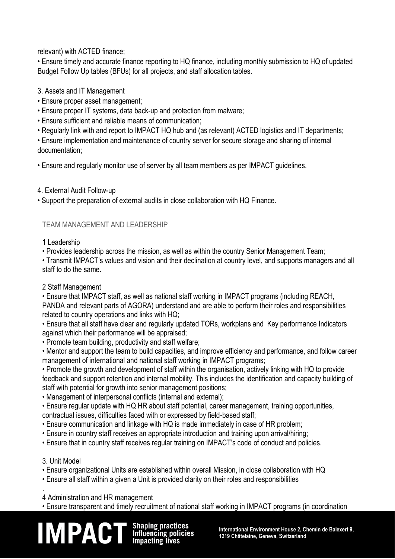relevant) with ACTED finance;

• Ensure timely and accurate finance reporting to HQ finance, including monthly submission to HQ of updated Budget Follow Up tables (BFUs) for all projects, and staff allocation tables.

3. Assets and IT Management

- Ensure proper asset management;
- Ensure proper IT systems, data back-up and protection from malware;
- Ensure sufficient and reliable means of communication;
- Regularly link with and report to IMPACT HQ hub and (as relevant) ACTED logistics and IT departments;

• Ensure implementation and maintenance of country server for secure storage and sharing of internal documentation;

• Ensure and regularly monitor use of server by all team members as per IMPACT guidelines.

#### 4. External Audit Follow-up

• Support the preparation of external audits in close collaboration with HQ Finance.

#### TEAM MANAGEMENT AND LEADERSHIP

#### 1 Leadership

• Provides leadership across the mission, as well as within the country Senior Management Team;

• Transmit IMPACT's values and vision and their declination at country level, and supports managers and all staff to do the same.

#### 2 Staff Management

• Ensure that IMPACT staff, as well as national staff working in IMPACT programs (including REACH, PANDA and relevant parts of AGORA) understand and are able to perform their roles and responsibilities related to country operations and links with HQ;

• Ensure that all staff have clear and regularly updated TORs, workplans and Key performance Indicators against which their performance will be appraised;

• Promote team building, productivity and staff welfare;

• Mentor and support the team to build capacities, and improve efficiency and performance, and follow career management of international and national staff working in IMPACT programs;

• Promote the growth and development of staff within the organisation, actively linking with HQ to provide feedback and support retention and internal mobility. This includes the identification and capacity building of staff with potential for growth into senior management positions;

• Management of interpersonal conflicts (internal and external);

• Ensure regular update with HQ HR about staff potential, career management, training opportunities, contractual issues, difficulties faced with or expressed by field-based staff;

- Ensure communication and linkage with HQ is made immediately in case of HR problem;
- Ensure in country staff receives an appropriate introduction and training upon arrival/hiring;
- Ensure that in country staff receives regular training on IMPACT's code of conduct and policies.

#### 3. Unit Model

- Ensure organizational Units are established within overall Mission, in close collaboration with HQ
- Ensure all staff within a given a Unit is provided clarity on their roles and responsibilities

. 4 Administration and HR management

• Ensure transparent and timely recruitment of national staff working in IMPACT programs (in coordination

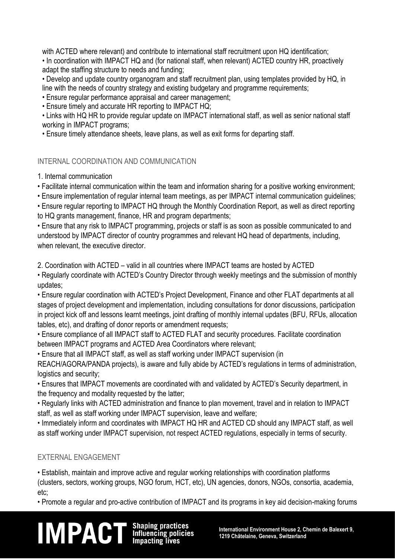with ACTED where relevant) and contribute to international staff recruitment upon HQ identification;

• In coordination with IMPACT HQ and (for national staff, when relevant) ACTED country HR, proactively adapt the staffing structure to needs and funding;

• Develop and update country organogram and staff recruitment plan, using templates provided by HQ, in line with the needs of country strategy and existing budgetary and programme requirements;

• Ensure regular performance appraisal and career management;

• Ensure timely and accurate HR reporting to IMPACT HQ;

• Links with HQ HR to provide regular update on IMPACT international staff, as well as senior national staff working in IMPACT programs;

• Ensure timely attendance sheets, leave plans, as well as exit forms for departing staff.

#### INTERNAL COORDINATION AND COMMUNICATION

1. Internal communication

• Facilitate internal communication within the team and information sharing for a positive working environment;

• Ensure implementation of regular internal team meetings, as per IMPACT internal communication guidelines;

• Ensure regular reporting to IMPACT HQ through the Monthly Coordination Report, as well as direct reporting to HQ grants management, finance, HR and program departments;

• Ensure that any risk to IMPACT programming, projects or staff is as soon as possible communicated to and understood by IMPACT director of country programmes and relevant HQ head of departments, including, when relevant, the executive director.

2. Coordination with ACTED – valid in all countries where IMPACT teams are hosted by ACTED

• Regularly coordinate with ACTED's Country Director through weekly meetings and the submission of monthly updates;

• Ensure regular coordination with ACTED's Project Development, Finance and other FLAT departments at all stages of project development and implementation, including consultations for donor discussions, participation in project kick off and lessons learnt meetings, joint drafting of monthly internal updates (BFU, RFUs, allocation tables, etc), and drafting of donor reports or amendment requests;

• Ensure compliance of all IMPACT staff to ACTED FLAT and security procedures. Facilitate coordination between IMPACT programs and ACTED Area Coordinators where relevant;

• Ensure that all IMPACT staff, as well as staff working under IMPACT supervision (in

REACH/AGORA/PANDA projects), is aware and fully abide by ACTED's regulations in terms of administration, logistics and security;

• Ensures that IMPACT movements are coordinated with and validated by ACTED's Security department, in the frequency and modality requested by the latter;

• Regularly links with ACTED administration and finance to plan movement, travel and in relation to IMPACT staff, as well as staff working under IMPACT supervision, leave and welfare;

• Immediately inform and coordinates with IMPACT HQ HR and ACTED CD should any IMPACT staff, as well as staff working under IMPACT supervision, not respect ACTED regulations, especially in terms of security.

#### EXTERNAL ENGAGEMENT

• Establish, maintain and improve active and regular working relationships with coordination platforms (clusters, sectors, working groups, NGO forum, HCT, etc), UN agencies, donors, NGOs, consortia, academia, etc;

• Promote a regular and pro-active contribution of IMPACT and its programs in key aid decision-making forums

## **IM PACT** Shaping practices<br>Influencing policies International Environment House 2, Chemin de Balexert 9,<br>Impacting lives 1219 Châtelaine, Geneva, Switzerland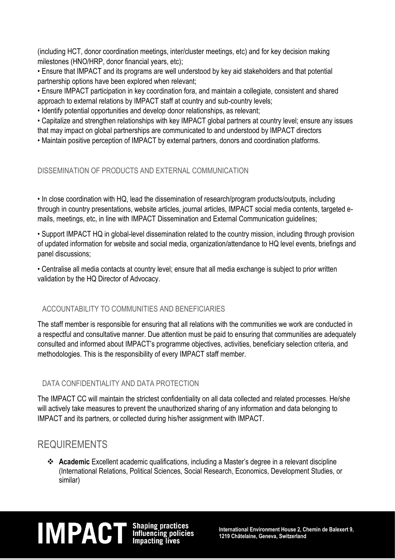(including HCT, donor coordination meetings, inter/cluster meetings, etc) and for key decision making milestones (HNO/HRP, donor financial years, etc);

• Ensure that IMPACT and its programs are well understood by key aid stakeholders and that potential partnership options have been explored when relevant;

• Ensure IMPACT participation in key coordination fora, and maintain a collegiate, consistent and shared approach to external relations by IMPACT staff at country and sub-country levels;

• Identify potential opportunities and develop donor relationships, as relevant;

• Capitalize and strengthen relationships with key IMPACT global partners at country level; ensure any issues that may impact on global partnerships are communicated to and understood by IMPACT directors

• Maintain positive perception of IMPACT by external partners, donors and coordination platforms.

#### DISSEMINATION OF PRODUCTS AND EXTERNAL COMMUNICATION

• In close coordination with HQ, lead the dissemination of research/program products/outputs, including through in country presentations, website articles, journal articles, IMPACT social media contents, targeted emails, meetings, etc, in line with IMPACT Dissemination and External Communication guidelines;

• Support IMPACT HQ in global-level dissemination related to the country mission, including through provision of updated information for website and social media, organization/attendance to HQ level events, briefings and panel discussions;

• Centralise all media contacts at country level; ensure that all media exchange is subject to prior written validation by the HQ Director of Advocacy.

#### ACCOUNTABILITY TO COMMUNITIES AND BENEFICIARIES

The staff member is responsible for ensuring that all relations with the communities we work are conducted in a respectful and consultative manner. Due attention must be paid to ensuring that communities are adequately consulted and informed about IMPACT's programme objectives, activities, beneficiary selection criteria, and methodologies. This is the responsibility of every IMPACT staff member.

#### DATA CONFIDENTIALITY AND DATA PROTECTION

The IMPACT CC will maintain the strictest confidentiality on all data collected and related processes. He/she will actively take measures to prevent the unauthorized sharing of any information and data belonging to IMPACT and its partners, or collected during his/her assignment with IMPACT.

### REQUIREMENTS

 **Academic** Excellent academic qualifications, including a Master's degree in a relevant discipline (International Relations, Political Sciences, Social Research, Economics, Development Studies, or similar)

## **IM PACT** Shaping practices<br>Influencing policies International Environment House 2, Chemin de Balexert 9,<br>Impacting lives 1219 Châtelaine, Geneva, Switzerland